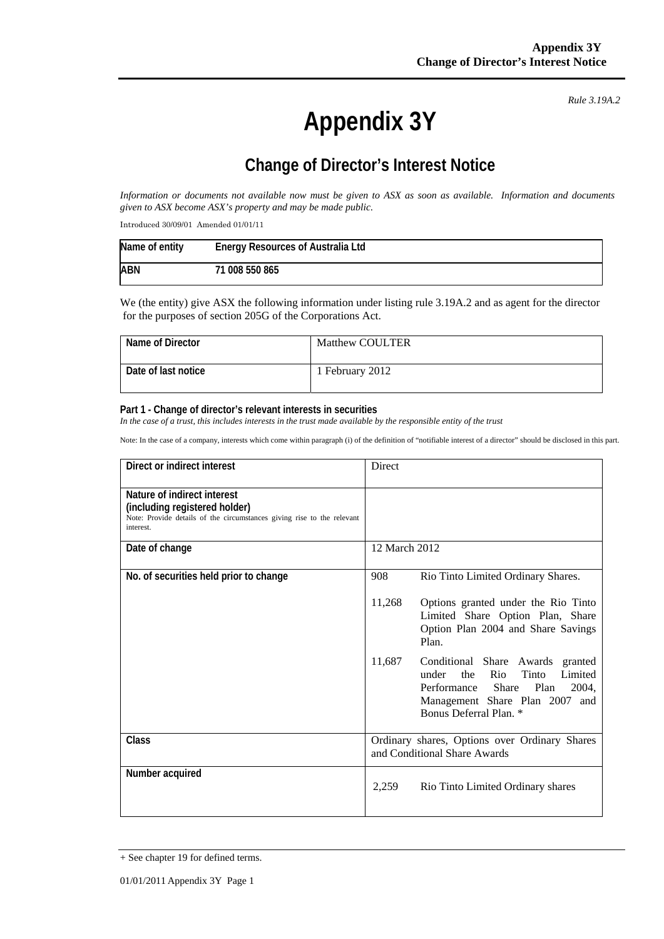**Appendix 3Y** 

*Rule 3.19A.2*

## **Change of Director's Interest Notice**

*Information or documents not available now must be given to ASX as soon as available. Information and documents given to ASX become ASX's property and may be made public.* 

Introduced 30/09/01 Amended 01/01/11

| Name of entity | <b>Energy Resources of Australia Ltd</b> |
|----------------|------------------------------------------|
| ABN            | 71 008 550 865                           |

We (the entity) give ASX the following information under listing rule 3.19A.2 and as agent for the director for the purposes of section 205G of the Corporations Act.

| Name of Director    | Matthew COULTER |
|---------------------|-----------------|
| Date of last notice | 1 February 2012 |

## **Part 1 - Change of director's relevant interests in securities**

In the case of a trust, this includes interests in the trust made available by the responsible entity of the trust

Note: In the case of a company, interests which come within paragraph (i) of the definition of "notifiable interest of a director" should be disclosed in this part.

| Direct or indirect interest                                                                                                                         | Direct        |                                                                                                                                                                                  |
|-----------------------------------------------------------------------------------------------------------------------------------------------------|---------------|----------------------------------------------------------------------------------------------------------------------------------------------------------------------------------|
| Nature of indirect interest<br>(including registered holder)<br>Note: Provide details of the circumstances giving rise to the relevant<br>interest. |               |                                                                                                                                                                                  |
| Date of change                                                                                                                                      | 12 March 2012 |                                                                                                                                                                                  |
| No. of securities held prior to change                                                                                                              | 908           | Rio Tinto Limited Ordinary Shares.                                                                                                                                               |
|                                                                                                                                                     | 11,268        | Options granted under the Rio Tinto<br>Limited Share Option Plan, Share<br>Option Plan 2004 and Share Savings<br>Plan.                                                           |
|                                                                                                                                                     | 11,687        | Conditional Share Awards granted<br>the<br>Rio<br>Tinto<br>Limited<br>under<br>Performance<br>Share<br>Plan<br>2004.<br>Management Share Plan 2007 and<br>Bonus Deferral Plan. * |
| Class                                                                                                                                               |               | Ordinary shares, Options over Ordinary Shares<br>and Conditional Share Awards                                                                                                    |
| Number acquired                                                                                                                                     | 2,259         | Rio Tinto Limited Ordinary shares                                                                                                                                                |

<sup>+</sup> See chapter 19 for defined terms.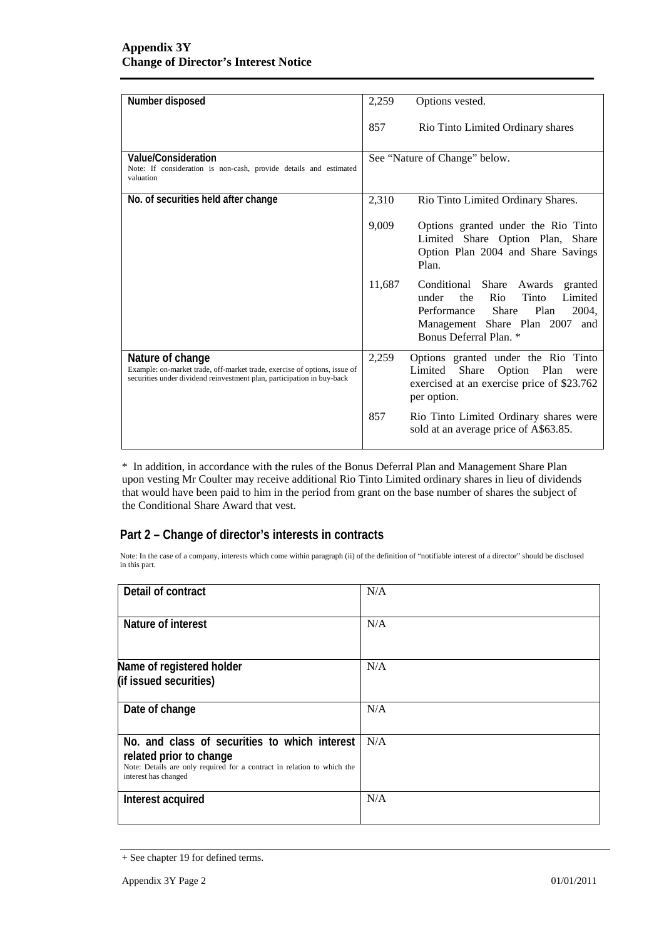| Number disposed                                                                                                                                                         | 2,259  | Options vested.                                                                                                                                                                        |
|-------------------------------------------------------------------------------------------------------------------------------------------------------------------------|--------|----------------------------------------------------------------------------------------------------------------------------------------------------------------------------------------|
|                                                                                                                                                                         | 857    | Rio Tinto Limited Ordinary shares                                                                                                                                                      |
| Value/Consideration<br>Note: If consideration is non-cash, provide details and estimated<br>valuation                                                                   |        | See "Nature of Change" below.                                                                                                                                                          |
| No. of securities held after change                                                                                                                                     | 2,310  | Rio Tinto Limited Ordinary Shares.                                                                                                                                                     |
|                                                                                                                                                                         | 9,009  | Options granted under the Rio Tinto<br>Limited Share Option Plan, Share<br>Option Plan 2004 and Share Savings<br>Plan.                                                                 |
|                                                                                                                                                                         | 11,687 | Conditional Share Awards<br>granted<br>Rio<br>Tinto<br>under<br>the<br>Limited<br>Performance<br>Share<br>Plan<br>2004,<br>Management Share Plan 2007<br>and<br>Bonus Deferral Plan. * |
| Nature of change<br>Example: on-market trade, off-market trade, exercise of options, issue of<br>securities under dividend reinvestment plan, participation in buy-back | 2,259  | Options granted under the Rio Tinto<br>Limited<br>Share<br>Option Plan<br>were<br>exercised at an exercise price of \$23.762<br>per option.                                            |
|                                                                                                                                                                         | 857    | Rio Tinto Limited Ordinary shares were<br>sold at an average price of A\$63.85.                                                                                                        |

\* In addition, in accordance with the rules of the Bonus Deferral Plan and Management Share Plan upon vesting Mr Coulter may receive additional Rio Tinto Limited ordinary shares in lieu of dividends that would have been paid to him in the period from grant on the base number of shares the subject of the Conditional Share Award that vest.

## **Part 2 – Change of director's interests in contracts**

Note: In the case of a company, interests which come within paragraph (ii) of the definition of "notifiable interest of a director" should be disclosed in this part.

| Detail of contract                                                                                                                                                          | N/A |
|-----------------------------------------------------------------------------------------------------------------------------------------------------------------------------|-----|
| Nature of interest                                                                                                                                                          | N/A |
| Name of registered holder<br>(if issued securities)                                                                                                                         | N/A |
| Date of change                                                                                                                                                              | N/A |
| No. and class of securities to which interest<br>related prior to change<br>Note: Details are only required for a contract in relation to which the<br>interest has changed | N/A |
| Interest acquired                                                                                                                                                           | N/A |

<sup>+</sup> See chapter 19 for defined terms.